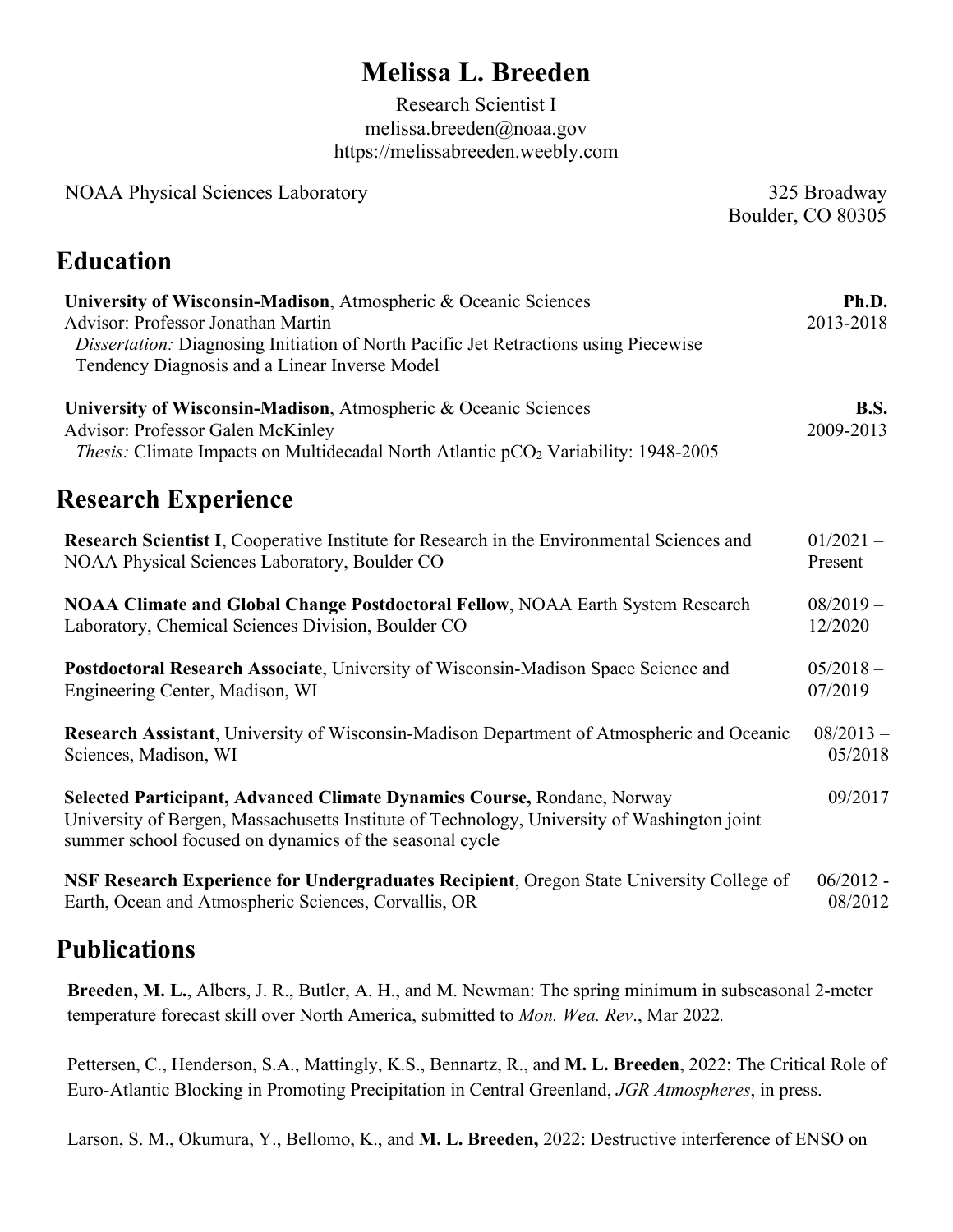# **Melissa L. Breeden**

Research Scientist I melissa.breeden@noaa.gov https://melissabreeden.weebly.com

| <b>NOAA Physical Sciences Laboratory</b><br>325 Broadway<br>Boulder, CO 80305                                                                                                                                                                         |                          |
|-------------------------------------------------------------------------------------------------------------------------------------------------------------------------------------------------------------------------------------------------------|--------------------------|
| <b>Education</b>                                                                                                                                                                                                                                      |                          |
| University of Wisconsin-Madison, Atmospheric & Oceanic Sciences<br><b>Advisor: Professor Jonathan Martin</b><br>Dissertation: Diagnosing Initiation of North Pacific Jet Retractions using Piecewise<br>Tendency Diagnosis and a Linear Inverse Model | Ph.D.<br>2013-2018       |
| University of Wisconsin-Madison, Atmospheric & Oceanic Sciences<br><b>Advisor: Professor Galen McKinley</b><br><i>Thesis:</i> Climate Impacts on Multidecadal North Atlantic pCO <sub>2</sub> Variability: 1948-2005                                  | <b>B.S.</b><br>2009-2013 |
| <b>Research Experience</b>                                                                                                                                                                                                                            |                          |
| Research Scientist I, Cooperative Institute for Research in the Environmental Sciences and<br>NOAA Physical Sciences Laboratory, Boulder CO                                                                                                           | $01/2021 -$<br>Present   |
| NOAA Climate and Global Change Postdoctoral Fellow, NOAA Earth System Research<br>Laboratory, Chemical Sciences Division, Boulder CO                                                                                                                  | $08/2019 -$<br>12/2020   |
| Postdoctoral Research Associate, University of Wisconsin-Madison Space Science and<br>Engineering Center, Madison, WI                                                                                                                                 | $05/2018 -$<br>07/2019   |
| Research Assistant, University of Wisconsin-Madison Department of Atmospheric and Oceanic<br>Sciences, Madison, WI                                                                                                                                    | $08/2013 -$<br>05/2018   |
| Selected Participant, Advanced Climate Dynamics Course, Rondane, Norway<br>University of Bergen, Massachusetts Institute of Technology, University of Washington joint<br>summer school focused on dynamics of the seasonal cycle                     | 09/2017                  |
| NSF Research Experience for Undergraduates Recipient, Oregon State University College of<br>Earth, Ocean and Atmospheric Sciences, Corvallis, OR                                                                                                      | $06/2012 -$<br>08/2012   |

### **Publications**

**Breeden, M. L.**, Albers, J. R., Butler, A. H., and M. Newman: The spring minimum in subseasonal 2-meter temperature forecast skill over North America, submitted to *Mon. Wea. Rev*., Mar 2022*.*

Pettersen, C., Henderson, S.A., Mattingly, K.S., Bennartz, R., and **M. L. Breeden**, 2022: The Critical Role of Euro-Atlantic Blocking in Promoting Precipitation in Central Greenland, *JGR Atmospheres*, in press.

Larson, S. M., Okumura, Y., Bellomo, K., and **M. L. Breeden,** 2022: Destructive interference of ENSO on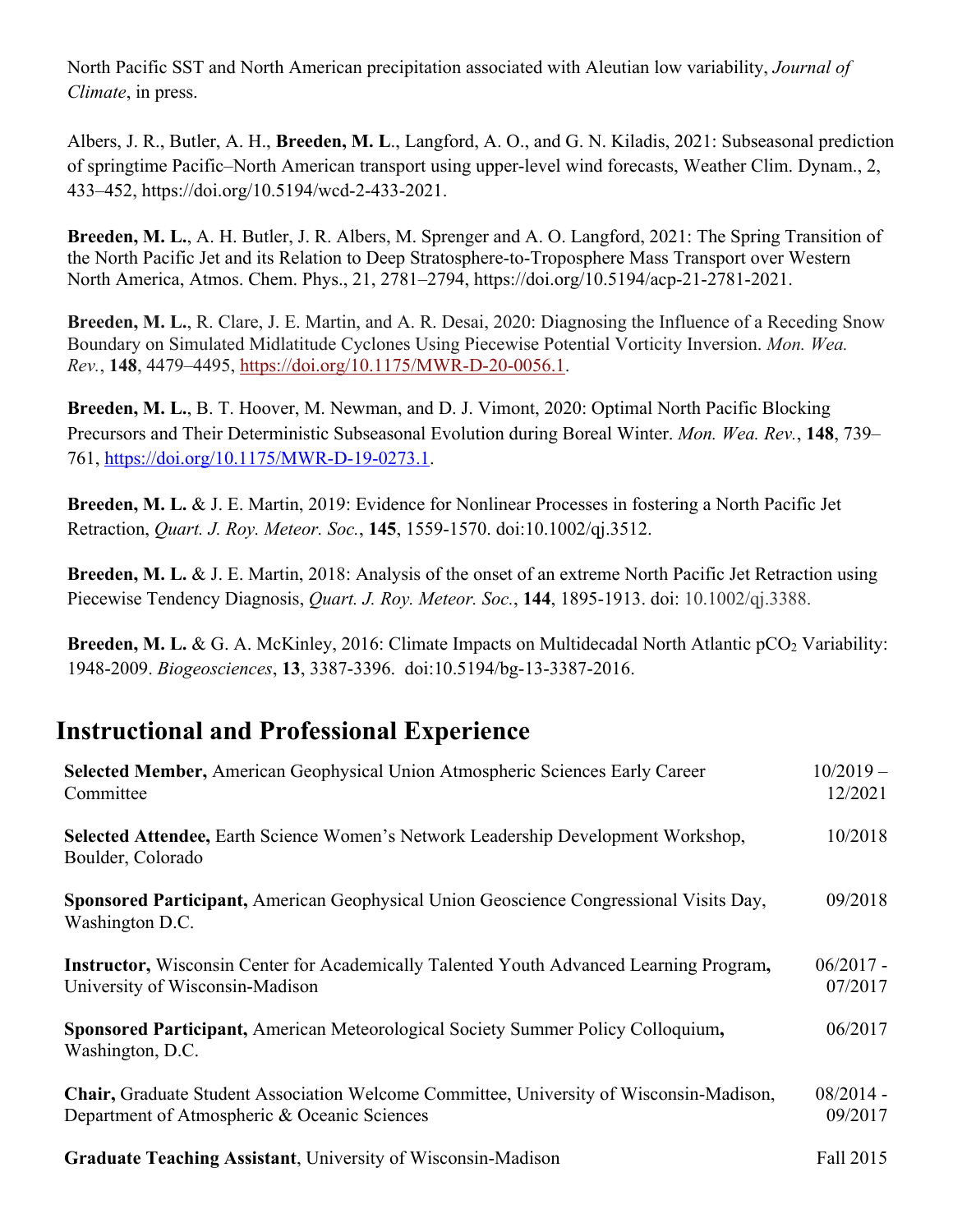North Pacific SST and North American precipitation associated with Aleutian low variability, *Journal of Climate*, in press.

Albers, J. R., Butler, A. H., **Breeden, M. L**., Langford, A. O., and G. N. Kiladis, 2021: Subseasonal prediction of springtime Pacific–North American transport using upper-level wind forecasts, Weather Clim. Dynam., 2, 433–452, https://doi.org/10.5194/wcd-2-433-2021.

**Breeden, M. L.**, A. H. Butler, J. R. Albers, M. Sprenger and A. O. Langford, 2021: The Spring Transition of the North Pacific Jet and its Relation to Deep Stratosphere-to-Troposphere Mass Transport over Western North America, Atmos. Chem. Phys., 21, 2781–2794, https://doi.org/10.5194/acp-21-2781-2021.

**Breeden, M. L.**, R. Clare, J. E. Martin, and A. R. Desai, 2020: Diagnosing the Influence of a Receding Snow Boundary on Simulated Midlatitude Cyclones Using Piecewise Potential Vorticity Inversion. *Mon. Wea. Rev.*, **148**, 4479–4495, https://doi.org/10.1175/MWR-D-20-0056.1.

**Breeden, M. L.**, B. T. Hoover, M. Newman, and D. J. Vimont, 2020: Optimal North Pacific Blocking Precursors and Their Deterministic Subseasonal Evolution during Boreal Winter. *Mon. Wea. Rev.*, **148**, 739– 761, https://doi.org/10.1175/MWR-D-19-0273.1.

**Breeden, M. L.** & J. E. Martin, 2019: Evidence for Nonlinear Processes in fostering a North Pacific Jet Retraction, *Quart. J. Roy. Meteor. Soc.*, **145**, 1559-1570. doi:10.1002/qj.3512.

**Breeden, M. L.** & J. E. Martin, 2018: Analysis of the onset of an extreme North Pacific Jet Retraction using Piecewise Tendency Diagnosis, *Quart. J. Roy. Meteor. Soc.*, **144**, 1895-1913. doi: 10.1002/qj.3388.

**Breeden, M. L. & G. A. McKinley, 2016: Climate Impacts on Multidecadal North Atlantic pCO<sub>2</sub> Variability:** 1948-2009. *Biogeosciences*, **13**, 3387-3396. doi:10.5194/bg-13-3387-2016.

## **Instructional and Professional Experience**

| Selected Member, American Geophysical Union Atmospheric Sciences Early Career<br>Committee                                              | $10/2019 -$<br>12/2021 |
|-----------------------------------------------------------------------------------------------------------------------------------------|------------------------|
| <b>Selected Attendee, Earth Science Women's Network Leadership Development Workshop,</b><br>Boulder, Colorado                           | 10/2018                |
| Sponsored Participant, American Geophysical Union Geoscience Congressional Visits Day,<br>Washington D.C.                               | 09/2018                |
| <b>Instructor,</b> Wisconsin Center for Academically Talented Youth Advanced Learning Program,<br>University of Wisconsin-Madison       | $06/2017 -$<br>07/2017 |
| Sponsored Participant, American Meteorological Society Summer Policy Colloquium,<br>Washington, D.C.                                    | 06/2017                |
| Chair, Graduate Student Association Welcome Committee, University of Wisconsin-Madison,<br>Department of Atmospheric & Oceanic Sciences | $08/2014 -$<br>09/2017 |
| Graduate Teaching Assistant, University of Wisconsin-Madison                                                                            | Fall 2015              |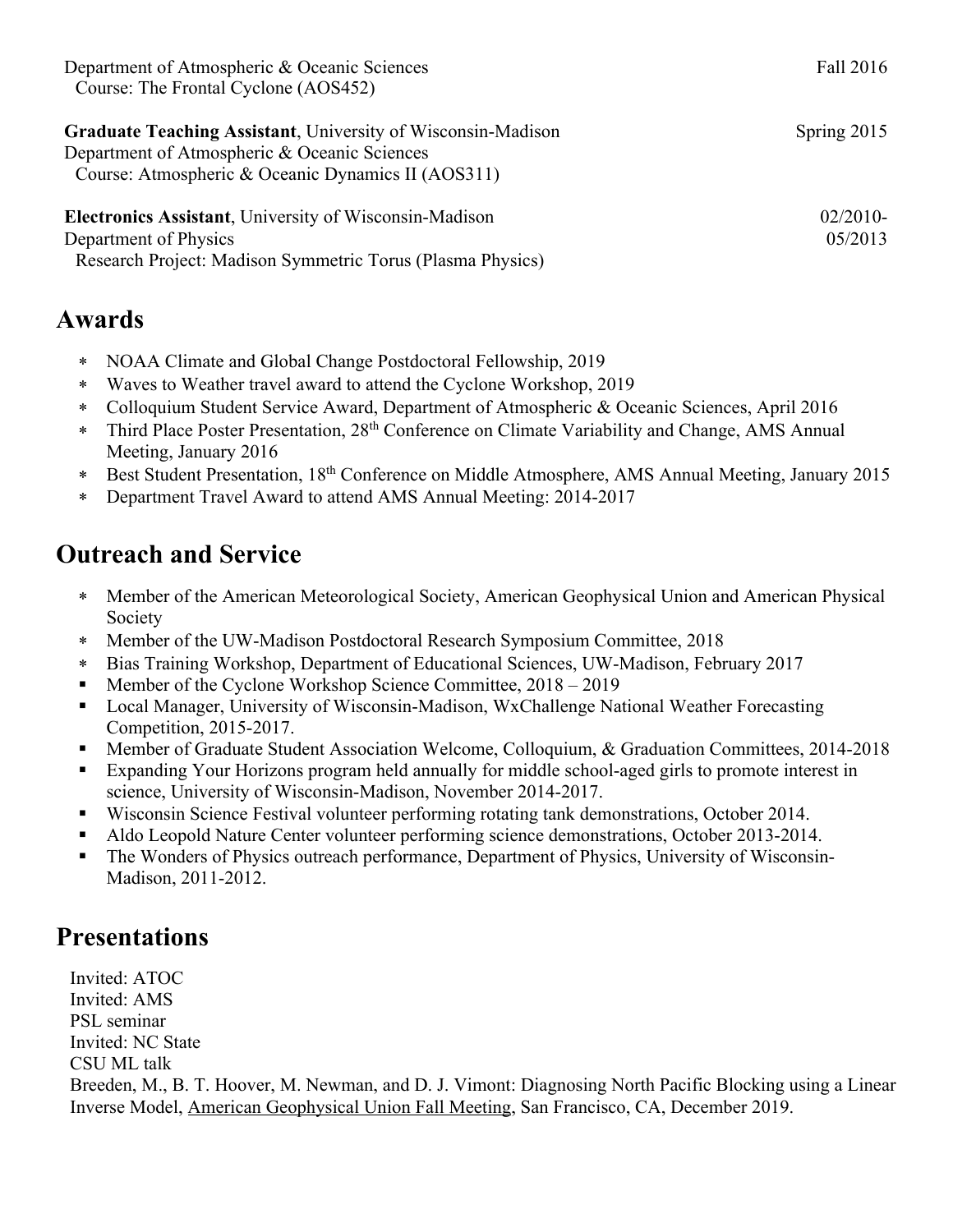| Department of Atmospheric & Oceanic Sciences                        | Fall 2016     |
|---------------------------------------------------------------------|---------------|
| Course: The Frontal Cyclone (AOS452)                                |               |
| <b>Graduate Teaching Assistant, University of Wisconsin-Madison</b> | Spring $2015$ |
| Department of Atmospheric & Oceanic Sciences                        |               |
| Course: Atmospheric & Oceanic Dynamics II (AOS311)                  |               |
| <b>Electronics Assistant, University of Wisconsin-Madison</b>       | $02/2010-$    |
| Department of Physics                                               | 05/2013       |
| Research Project: Madison Symmetric Torus (Plasma Physics)          |               |

#### **Awards**

- \* NOAA Climate and Global Change Postdoctoral Fellowship, 2019
- \* Waves to Weather travel award to attend the Cyclone Workshop, 2019
- \* Colloquium Student Service Award, Department of Atmospheric & Oceanic Sciences, April 2016
- \* Third Place Poster Presentation, 28<sup>th</sup> Conference on Climate Variability and Change, AMS Annual Meeting, January 2016
- \* Best Student Presentation, 18th Conference on Middle Atmosphere, AMS Annual Meeting, January 2015
- \* Department Travel Award to attend AMS Annual Meeting: 2014-2017

#### **Outreach and Service**

- \* Member of the American Meteorological Society, American Geophysical Union and American Physical Society
- \* Member of the UW-Madison Postdoctoral Research Symposium Committee, 2018
- \* Bias Training Workshop, Department of Educational Sciences, UW-Madison, February 2017
- § Member of the Cyclone Workshop Science Committee, 2018 2019
- § Local Manager, University of Wisconsin-Madison, WxChallenge National Weather Forecasting Competition, 2015-2017.
- § Member of Graduate Student Association Welcome, Colloquium, & Graduation Committees, 2014-2018
- Expanding Your Horizons program held annually for middle school-aged girls to promote interest in science, University of Wisconsin-Madison, November 2014-2017.
- § Wisconsin Science Festival volunteer performing rotating tank demonstrations, October 2014.
- § Aldo Leopold Nature Center volunteer performing science demonstrations, October 2013-2014.
- The Wonders of Physics outreach performance, Department of Physics, University of Wisconsin-Madison, 2011-2012.

#### **Presentations**

Invited: ATOC Invited: AMS PSL seminar Invited: NC State CSU ML talk Breeden, M., B. T. Hoover, M. Newman, and D. J. Vimont: Diagnosing North Pacific Blocking using a Linear Inverse Model, American Geophysical Union Fall Meeting, San Francisco, CA, December 2019.